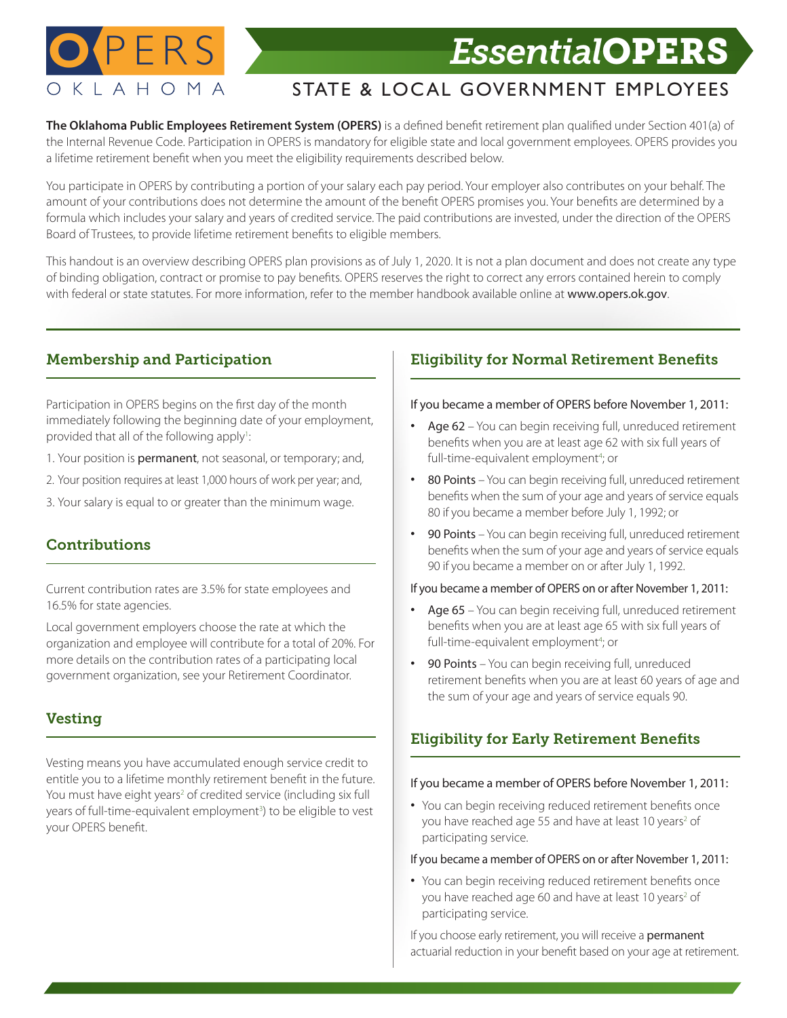

# **O** PERS *Essential*OPERS

## STATE & LOCAL GOVERNMENT EMPLOYEES

The Oklahoma Public Employees Retirement System (OPERS) is a defined benefit retirement plan qualified under Section 401(a) of the Internal Revenue Code. Participation in OPERS is mandatory for eligible state and local government employees. OPERS provides you a lifetime retirement benefit when you meet the eligibility requirements described below.

You participate in OPERS by contributing a portion of your salary each pay period. Your employer also contributes on your behalf. The amount of your contributions does not determine the amount of the benefit OPERS promises you. Your benefits are determined by a formula which includes your salary and years of credited service. The paid contributions are invested, under the direction of the OPERS Board of Trustees, to provide lifetime retirement benefits to eligible members.

This handout is an overview describing OPERS plan provisions as of July 1, 2020. It is not a plan document and does not create any type of binding obligation, contract or promise to pay benefits. OPERS reserves the right to correct any errors contained herein to comply with federal or state statutes. For more information, refer to the member handbook available online at www.opers.ok.gov.

#### Membership and Participation

Participation in OPERS begins on the first day of the month immediately following the beginning date of your employment, provided that all of the following apply<sup>1</sup>: :

- 1. Your position is permanent, not seasonal, or temporary; and,
- 2. Your position requires at least 1,000 hours of work per year; and,
- 3. Your salary is equal to or greater than the minimum wage.

### Contributions

Current contribution rates are 3.5% for state employees and 16.5% for state agencies.

Local government employers choose the rate at which the organization and employee will contribute for a total of 20%. For more details on the contribution rates of a participating local government organization, see your Retirement Coordinator.

#### Vesting

Vesting means you have accumulated enough service credit to entitle you to a lifetime monthly retirement benefit in the future. You must have eight years<sup>2</sup> of credited service (including six full years of full-time-equivalent employment<sup>3</sup>) to be eligible to vest your OPERS benefit.

### **Eligibility for Normal Retirement Benefits**

#### If you became a member of OPERS before November 1, 2011:

- Age 62 You can begin receiving full, unreduced retirement benefits when you are at least age 62 with six full years of full-time-equivalent employment<sup>4</sup>; or
- 80 Points You can begin receiving full, unreduced retirement benefits when the sum of your age and years of service equals 80 if you became a member before July 1, 1992; or
- 90 Points You can begin receiving full, unreduced retirement benefits when the sum of your age and years of service equals 90 if you became a member on or after July 1, 1992.

#### If you became a member of OPERS on or after November 1, 2011:

- Age 65 You can begin receiving full, unreduced retirement benefits when you are at least age 65 with six full years of full-time-equivalent employment<sup>4</sup>; or
- 90 Points You can begin receiving full, unreduced retirement benefits when you are at least 60 years of age and the sum of your age and years of service equals 90.

### **Eligibility for Early Retirement Benefits**

#### If you became a member of OPERS before November 1, 2011:

• You can begin receiving reduced retirement benefits once you have reached age 55 and have at least 10 years<sup>2</sup> of participating service.

#### If you became a member of OPERS on or after November 1, 2011:

• You can begin receiving reduced retirement benefits once you have reached age 60 and have at least 10 years<sup>2</sup> of participating service.

If you choose early retirement, you will receive a **permanent** actuarial reduction in your benefit based on your age at retirement.